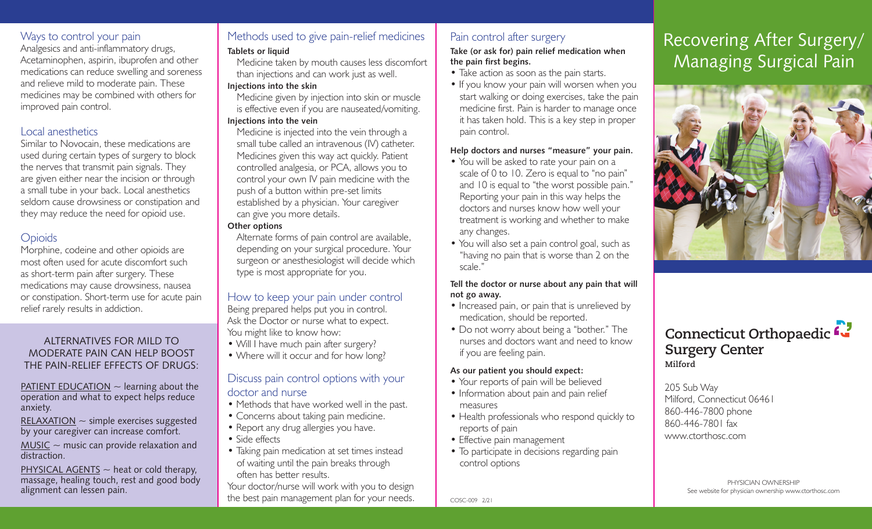### Ways to control your pain

Analgesics and anti-inflammatory drugs, Acetaminophen, aspirin, ibuprofen and other medications can reduce swelling and soreness and relieve mild to moderate pain. These medicines may be combined with others for improved pain control.

#### Local anesthetics

Similar to Novocain, these medications are used during certain types of surgery to block the nerves that transmit pain signals. They are given either near the incision or through a small tube in your back. Local anesthetics seldom cause drowsiness or constipation and they may reduce the need for opioid use.

# **Opioids**

Morphine, codeine and other opioids are most often used for acute discomfort such as short-term pain after surgery. These medications may cause drowsiness, nausea or constipation. Short-term use for acute pain relief rarely results in addiction.

#### ALTERNATIVES FOR MILD TO MODERATE PAIN CAN HELP BOOST THE PAIN-RELIEF EFFECTS OF DRUGS:

PATIENT EDUCATION  $\sim$  learning about the operation and what to expect helps reduce anxiety.

RELAXATION  $\sim$  simple exercises suggested by your caregiver can increase comfort.

 $MUSIC \sim$  music can provide relaxation and distraction.

PHYSICAL AGENTS  $\sim$  heat or cold therapy, massage, healing touch, rest and good body alignment can lessen pain.

# Methods used to give pain-relief medicines

#### **Tablets or liquid**

Medicine taken by mouth causes less discomfort than injections and can work just as well. **Injections into the skin**

Medicine given by injection into skin or muscle is effective even if you are nauseated/vomiting. **Injections into the vein**

Medicine is injected into the vein through a small tube called an intravenous (IV) catheter. Medicines given this way act quickly. Patient controlled analgesia, or PCA, allows you to control your own IV pain medicine with the push of a button within pre-set limits established by a physician. Your caregiver can give you more details.

#### **Other options**

Alternate forms of pain control are available, depending on your surgical procedure. Your surgeon or anesthesiologist will decide which type is most appropriate for you.

#### How to keep your pain under control

Being prepared helps put you in control. Ask the Doctor or nurse what to expect. You might like to know how:

- Will I have much pain after surgery?
- Where will it occur and for how long?

#### Discuss pain control options with your doctor and nurse

- Methods that have worked well in the past.
- Concerns about taking pain medicine.
- Report any drug allergies you have.
- Side effects
- Taking pain medication at set times instead of waiting until the pain breaks through often has better results.

Your doctor/nurse will work with you to design the best pain management plan for your needs.

### Pain control after surgery

#### **Take (or ask for) pain relief medication when the pain first begins.**

- Take action as soon as the pain starts.
- If you know your pain will worsen when you start walking or doing exercises, take the pain medicine first. Pain is harder to manage once it has taken hold. This is a key step in proper pain control.

#### **Help doctors and nurses "measure" your pain.**

- You will be asked to rate your pain on a scale of 0 to 10. Zero is equal to "no pain" and 10 is equal to "the worst possible pain." Reporting your pain in this way helps the doctors and nurses know how well your treatment is working and whether to make any changes.
- You will also set a pain control goal, such as "having no pain that is worse than 2 on the scale."

#### **Tell the doctor or nurse about any pain that will not go away.**

- Increased pain, or pain that is unrelieved by medication, should be reported.
- Do not worry about being a "bother." The nurses and doctors want and need to know if you are feeling pain.

#### **As our patient you should expect:**

- Your reports of pain will be believed
- Information about pain and pain relief measures
- Health professionals who respond quickly to reports of pain
- Effective pain management
- To participate in decisions regarding pain control options

# Recovering After Surgery/ Managing Surgical Pain



# **Connecticut Orthopaedic Surgery Center Milford**

205 Sub Way Milford, Connecticut 06461 860-446-7800 phone 860-446-7801 fax www.ctorthosc.com